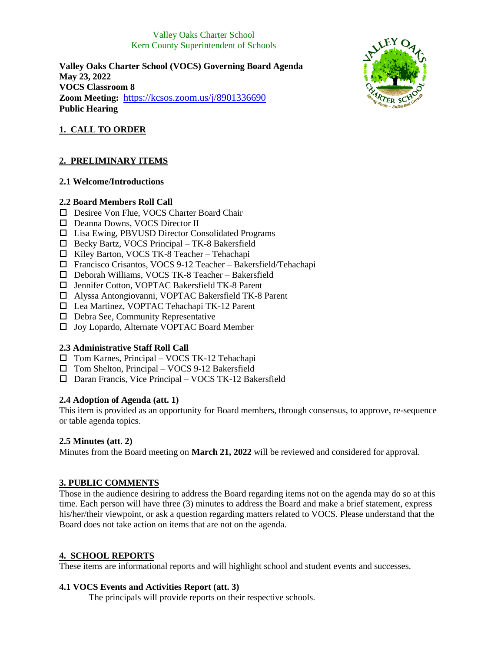## Valley Oaks Charter School Kern County Superintendent of Schools

**Valley Oaks Charter School (VOCS) Governing Board Agenda May 23, 2022 VOCS Classroom 8 Zoom Meeting:** <https://kcsos.zoom.us/j/8901336690> **Public Hearing**



# **1. CALL TO ORDER**

# **2. PRELIMINARY ITEMS**

## **2.1 Welcome/Introductions**

## **2.2 Board Members Roll Call**

- □ Desiree Von Flue, VOCS Charter Board Chair
- Deanna Downs, VOCS Director II
- □ Lisa Ewing, PBVUSD Director Consolidated Programs
- Becky Bartz, VOCS Principal TK-8 Bakersfield
- $\Box$  Kiley Barton, VOCS TK-8 Teacher Tehachapi
- Francisco Crisantos, VOCS 9-12 Teacher Bakersfield/Tehachapi
- Deborah Williams, VOCS TK-8 Teacher Bakersfield
- □ Jennifer Cotton, VOPTAC Bakersfield TK-8 Parent
- Alyssa Antongiovanni, VOPTAC Bakersfield TK-8 Parent
- Lea Martinez, VOPTAC Tehachapi TK-12 Parent
- $\Box$  Debra See, Community Representative
- □ Joy Lopardo, Alternate VOPTAC Board Member

# **2.3 Administrative Staff Roll Call**

- Tom Karnes, Principal VOCS TK-12 Tehachapi
- $\square$  Tom Shelton, Principal VOCS 9-12 Bakersfield
- Daran Francis, Vice Principal VOCS TK-12 Bakersfield

## **2.4 Adoption of Agenda (att. 1)**

This item is provided as an opportunity for Board members, through consensus, to approve, re-sequence or table agenda topics.

## **2.5 Minutes (att. 2)**

Minutes from the Board meeting on **March 21, 2022** will be reviewed and considered for approval.

# **3. PUBLIC COMMENTS**

Those in the audience desiring to address the Board regarding items not on the agenda may do so at this time. Each person will have three (3) minutes to address the Board and make a brief statement, express his/her/their viewpoint, or ask a question regarding matters related to VOCS. Please understand that the Board does not take action on items that are not on the agenda.

## **4. SCHOOL REPORTS**

These items are informational reports and will highlight school and student events and successes.

# **4.1 VOCS Events and Activities Report (att. 3)**

The principals will provide reports on their respective schools.